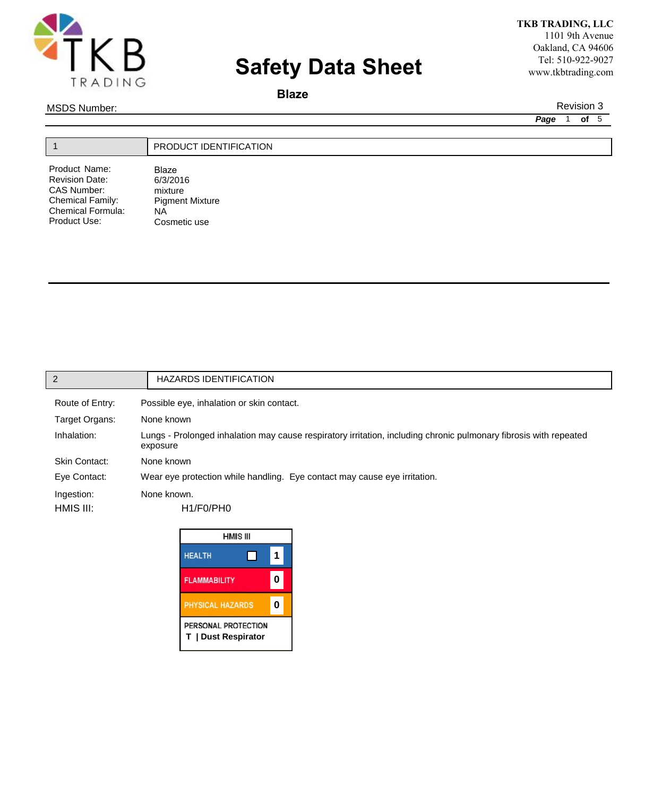

# **Safety Data Sheet**

**TKB TRADING, LLC** 1101 9th Avenue Oakland, CA 94606 Tel: 510-922-9027 www.tkbtrading.com

## **Blaze**

MSDS Number: Revision 3

Product Use:

Cosmetic use

*Page*1 **of** 5

|                       | PRODUCT IDENTIFICATION |
|-----------------------|------------------------|
| Product Name:         | Blaze                  |
| <b>Revision Date:</b> | 6/3/2016               |
| <b>CAS Number:</b>    | mixture                |
| Chemical Family:      | <b>Pigment Mixture</b> |
| Chemical Formula:     | NA                     |

| $\overline{2}$       | <b>HAZARDS IDENTIFICATION</b>                                                                                                 |
|----------------------|-------------------------------------------------------------------------------------------------------------------------------|
| Route of Entry:      | Possible eye, inhalation or skin contact.                                                                                     |
| Target Organs:       | None known                                                                                                                    |
| Inhalation:          | Lungs - Prolonged inhalation may cause respiratory irritation, including chronic pulmonary fibrosis with repeated<br>exposure |
| <b>Skin Contact:</b> | None known                                                                                                                    |
| Eye Contact:         | Wear eye protection while handling. Eye contact may cause eye irritation.                                                     |
| Ingestion:           | None known.                                                                                                                   |
| HMIS III:            | H1/F0/PHO                                                                                                                     |
|                      |                                                                                                                               |

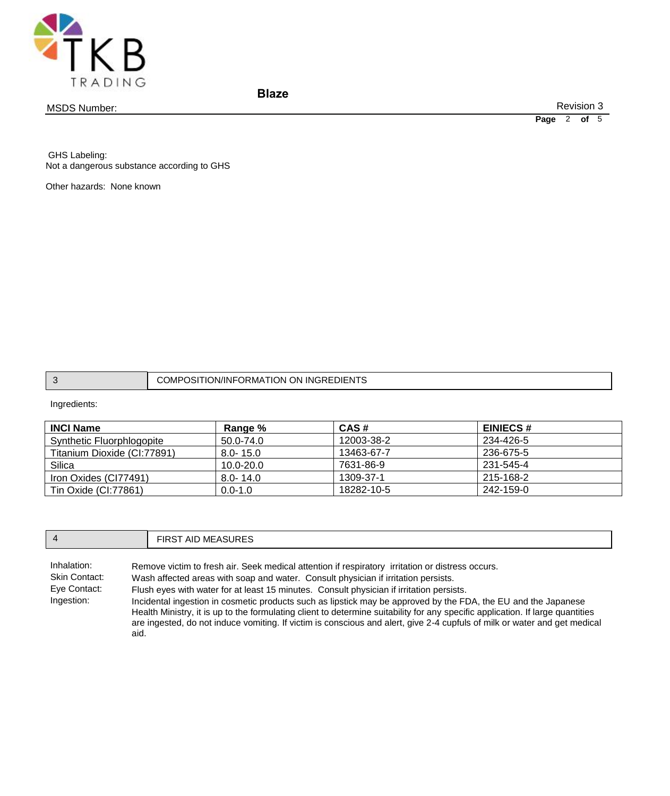

MSDS Number:

**Blaze**

Revision 3

**Page** 2 **of** 5

 GHS Labeling: Not a dangerous substance according to GHS

Other hazards: None known

|  | `ING-<br>)N<br>)MP<br>)N<br>∣)l⊢N<br>ж.<br>⊀MA<br>'INF<br>ш<br>٠эı |
|--|--------------------------------------------------------------------|
|--|--------------------------------------------------------------------|

Ingredients:

| <b>INCI Name</b>            | Range %       | CAS#       | <b>EINIECS#</b> |
|-----------------------------|---------------|------------|-----------------|
| Synthetic Fluorphlogopite   | 50.0-74.0     | 12003-38-2 | 234-426-5       |
| Titanium Dioxide (CI:77891) | $8.0 - 15.0$  | 13463-67-7 | 236-675-5       |
| Silica                      | $10.0 - 20.0$ | 7631-86-9  | 231-545-4       |
| Iron Oxides (CI77491)       | $8.0 - 14.0$  | 1309-37-1  | 215-168-2       |
| Tin Oxide (CI:77861)        | $0.0 - 1.0$   | 18282-10-5 | 242-159-0       |

| $\overline{4}$                                                            | <b>FIRST AID MEASURES</b>                                                                                                                                                                                                                                                                                                                                                                                                                                                                                                                                                                                                                                           |  |
|---------------------------------------------------------------------------|---------------------------------------------------------------------------------------------------------------------------------------------------------------------------------------------------------------------------------------------------------------------------------------------------------------------------------------------------------------------------------------------------------------------------------------------------------------------------------------------------------------------------------------------------------------------------------------------------------------------------------------------------------------------|--|
| Inhalation:<br><b>Skin Contact:</b><br>Eye Contact:<br>Ingestion:<br>aid. | Remove victim to fresh air. Seek medical attention if respiratory irritation or distress occurs.<br>Wash affected areas with soap and water. Consult physician if irritation persists.<br>Flush eyes with water for at least 15 minutes. Consult physician if irritation persists.<br>Incidental ingestion in cosmetic products such as lipstick may be approved by the FDA, the EU and the Japanese<br>Health Ministry, it is up to the formulating client to determine suitability for any specific application. If large quantities<br>are ingested, do not induce vomiting. If victim is conscious and alert, give 2-4 cupfuls of milk or water and get medical |  |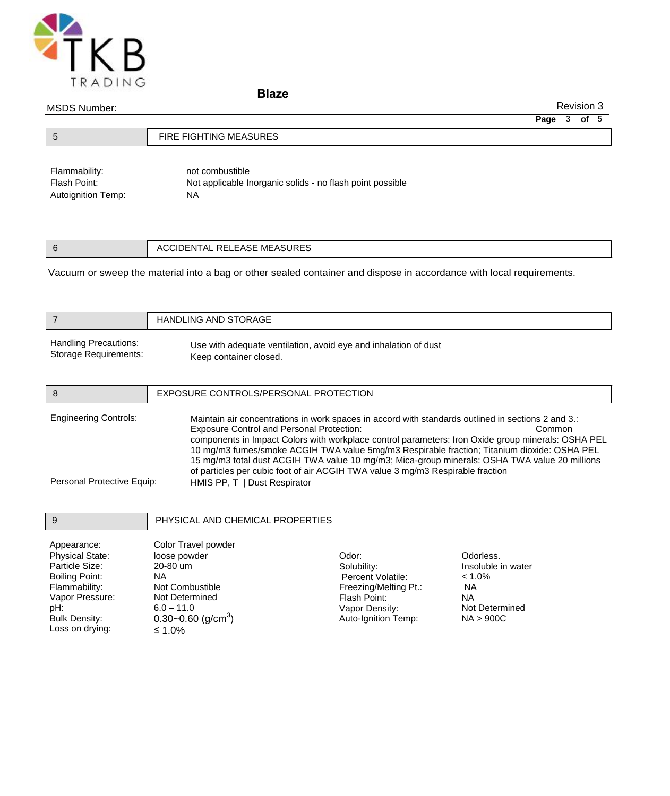

**Blaze**

## MSDS Number:

Revision 3

**Page** 3 **of** 5

| ು | FIRE FIGHTING MEASURES |
|---|------------------------|
|   |                        |

Flammability: not combustible Flash Point: Not applicable Inorganic solids - no flash point possible Autoignition Temp: NA

| EASE MEASURES<br>∍г<br>$\mathbf{v}$<br>4 L L<br>RELEASE<br>nı |
|---------------------------------------------------------------|
|---------------------------------------------------------------|

Vacuum or sweep the material into a bag or other sealed container and dispose in accordance with local requirements.

|                                                            | <b>HANDLING AND STORAGE</b>                                                                                                                                                                                                                                                                                                                                                                                                                                                                                                                                                              |
|------------------------------------------------------------|------------------------------------------------------------------------------------------------------------------------------------------------------------------------------------------------------------------------------------------------------------------------------------------------------------------------------------------------------------------------------------------------------------------------------------------------------------------------------------------------------------------------------------------------------------------------------------------|
| <b>Handling Precautions:</b><br>Storage Requirements:      | Use with adequate ventilation, avoid eye and inhalation of dust<br>Keep container closed.                                                                                                                                                                                                                                                                                                                                                                                                                                                                                                |
| 8                                                          | EXPOSURE CONTROLS/PERSONAL PROTECTION                                                                                                                                                                                                                                                                                                                                                                                                                                                                                                                                                    |
| <b>Engineering Controls:</b><br>Personal Protective Equip: | Maintain air concentrations in work spaces in accord with standards outlined in sections 2 and 3.:<br><b>Exposure Control and Personal Protection:</b><br>Common<br>components in Impact Colors with workplace control parameters: Iron Oxide group minerals: OSHA PEL<br>10 mg/m3 fumes/smoke ACGIH TWA value 5mg/m3 Respirable fraction; Titanium dioxide: OSHA PEL<br>15 mg/m3 total dust ACGIH TWA value 10 mg/m3; Mica-group minerals: OSHA TWA value 20 millions<br>of particles per cubic foot of air ACGIH TWA value 3 mg/m3 Respirable fraction<br>HMIS PP, T   Dust Respirator |

| 9                      | PHYSICAL AND CHEMICAL PROPERTIES   |                       |                    |
|------------------------|------------------------------------|-----------------------|--------------------|
| Appearance:            | Color Travel powder                |                       |                    |
| <b>Physical State:</b> | loose powder                       | Odor:                 | Odorless.          |
| Particle Size:         | 20-80 um                           | Solubility:           | Insoluble in water |
| Boiling Point:         | ΝA                                 | Percent Volatile:     | $< 1.0\%$          |
| Flammability:          | Not Combustible                    | Freezing/Melting Pt.: | NА                 |
| Vapor Pressure:        | Not Determined                     | Flash Point:          | <b>NA</b>          |
| pH:                    | $6.0 - 11.0$                       | Vapor Density:        | Not Determined     |
| <b>Bulk Density:</b>   | $0.30 - 0.60$ (g/cm <sup>3</sup> ) | Auto-Ignition Temp:   | NA > 900C          |
| Loss on drying:        | ≤ 1.0%                             |                       |                    |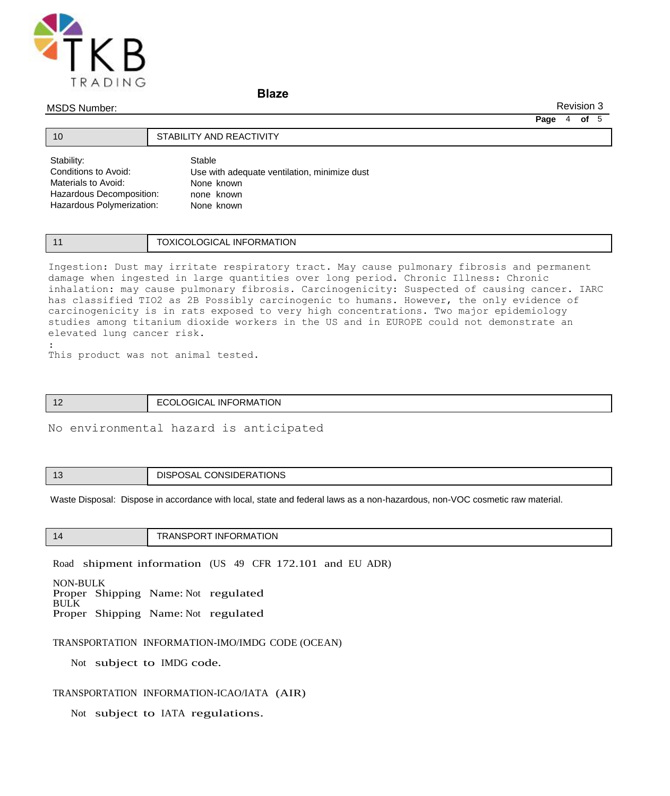

## **Blaze**

#### MSDS Number:

:

Revision 3

**Page** 4 **of** 5

| Stability:                | Stable                                       |
|---------------------------|----------------------------------------------|
| Conditions to Avoid:      | Use with adequate ventilation, minimize dust |
| Materials to Avoid:       | None known                                   |
| Hazardous Decomposition:  | none known                                   |
| Hazardous Polymerization: | None known                                   |

## 11 **TOXICOLOGICAL INFORMATION**

Ingestion: Dust may irritate respiratory tract. May cause pulmonary fibrosis and permanent damage when ingested in large quantities over long period. Chronic Illness: Chronic inhalation: may cause pulmonary fibrosis. Carcinogenicity: Suspected of causing cancer. IARC has classified TIO2 as 2B Possibly carcinogenic to humans. However, the only evidence of carcinogenicity is in rats exposed to very high concentrations. Two major epidemiology studies among titanium dioxide workers in the US and in EUROPE could not demonstrate an elevated lung cancer risk.

This product was not animal tested.

10 **STABILITY AND REACTIVITY** 

| ECOLOGICAL INFORMATION<br>$\sqrt{2}$<br>. . |  |
|---------------------------------------------|--|
|---------------------------------------------|--|

No environmental hazard is anticipated

|  | DISPOSAL CONSIDERATIONS |
|--|-------------------------|
|--|-------------------------|

Waste Disposal: Dispose in accordance with local, state and federal laws as a non-hazardous, non-VOC cosmetic raw material.

| 1 ZI<br>. . | ΓΙΩΝ<br>INI |
|-------------|-------------|

Road shipment information (US 49 CFR 172.101 and EU ADR)

NON-BULK Proper Shipping Name: Not regulated BULK Proper Shipping Name: Not regulated

#### TRANSPORTATION INFORMATION-IMO/IMDG CODE (OCEAN)

Not subject to IMDG code.

## TRANSPORTATION INFORMATION-ICAO/IATA (AIR)

Not subject to IATA regulations.